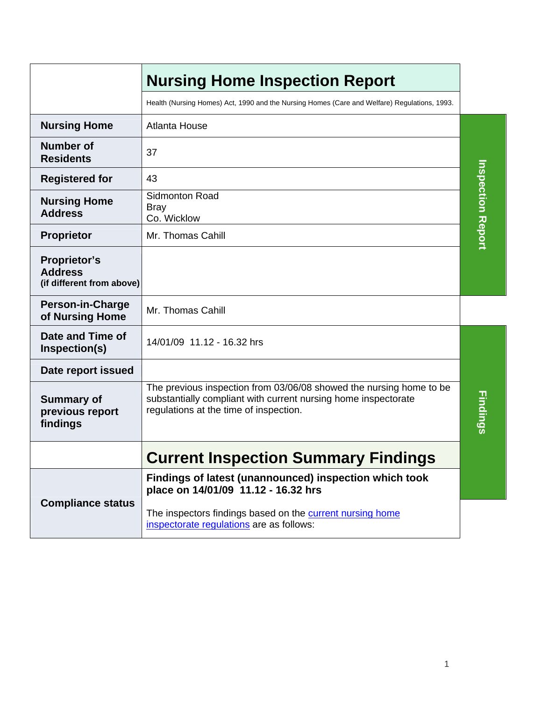|                                                                    | <b>Nursing Home Inspection Report</b>                                                                                                                                           |                          |
|--------------------------------------------------------------------|---------------------------------------------------------------------------------------------------------------------------------------------------------------------------------|--------------------------|
|                                                                    | Health (Nursing Homes) Act, 1990 and the Nursing Homes (Care and Welfare) Regulations, 1993.                                                                                    |                          |
| <b>Nursing Home</b>                                                | <b>Atlanta House</b>                                                                                                                                                            |                          |
| <b>Number of</b><br><b>Residents</b>                               | 37                                                                                                                                                                              |                          |
| <b>Registered for</b>                                              | 43                                                                                                                                                                              |                          |
| <b>Nursing Home</b><br><b>Address</b>                              | <b>Sidmonton Road</b><br><b>Bray</b><br>Co. Wicklow                                                                                                                             | <b>Inspection Report</b> |
| <b>Proprietor</b>                                                  | Mr. Thomas Cahill                                                                                                                                                               |                          |
| <b>Proprietor's</b><br><b>Address</b><br>(if different from above) |                                                                                                                                                                                 |                          |
| <b>Person-in-Charge</b><br>of Nursing Home                         | Mr. Thomas Cahill                                                                                                                                                               |                          |
| Date and Time of<br>Inspection(s)                                  | 14/01/09 11.12 - 16.32 hrs                                                                                                                                                      |                          |
| Date report issued                                                 |                                                                                                                                                                                 |                          |
| <b>Summary of</b><br>previous report<br>findings                   | The previous inspection from 03/06/08 showed the nursing home to be<br>substantially compliant with current nursing home inspectorate<br>regulations at the time of inspection. | <b>Findings</b>          |
|                                                                    | <b>Current Inspection Summary Findings</b>                                                                                                                                      |                          |
|                                                                    | Findings of latest (unannounced) inspection which took<br>place on 14/01/09 11.12 - 16.32 hrs                                                                                   |                          |
| <b>Compliance status</b>                                           | The inspectors findings based on the current nursing home<br>inspectorate regulations are as follows:                                                                           |                          |